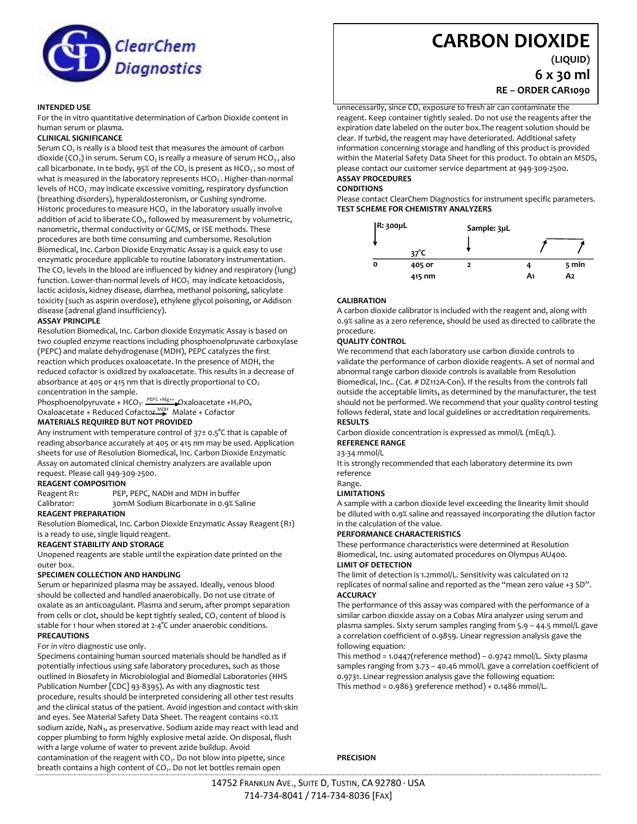

#### **INTENDED USE**

For the in vitro quantitative determination of Carbon Dioxide content in human serum or plasma.

#### **CLINICAL SIGNIFICANCE**

Serum  $CO<sub>2</sub>$  is really is a blood test that measures the amount of carbon dioxide (CO<sub>2</sub>) in serum. Serum CO<sub>2</sub> is really a measure of serum HCO<sub>3</sub>, also call bicarbonate. In te body, 95% of the CO<sub>2</sub> is present as HCO<sub>3</sub>, so most of what is measured in the laboratory represents  $HCO<sub>3</sub>$ . Higher-than-normal levels of HCO<sub>3</sub> may indicate excessive vomiting, respiratory dysfunction (breathing disorders), hyperaldosteronism, or Cushing syndrome. Historic procedures to measure  $HCO<sub>3</sub>$  in the laboratory usually involve addition of acid to liberate  $CO<sub>2</sub>$ , followed by measurement by volumetric, nanometric, thermal conductivity or GC/MS, or ISE methods. These procedures are both time consuming and cumbersome. Resolution Biomedical, Inc. Carbon Dioxide Enzymatic Assay is a quick easy to use enzymatic procedure applicable to routine laboratory instrumentation. The  $CO<sub>2</sub>$  levels in the blood are influenced by kidney and respiratory (lung) function. Lower-than-normal levels of HCO $_3$  may indicate ketoacidosis, lactic acidosis, kidney disease, diarrhea, methanol poisoning, salicylate toxicity (such as aspirin overdose), ethylene glycol poisoning, or Addison disease (adrenal gland insufficiency).

# **ASSAY PRINCIPLE**

Resolution Biomedical, Inc. Carbon dioxide Enzymatic Assay is based on two coupled enzyme reactions including phosphoenolpruvate carboxylase (PEPC) and malate dehydrogenase (MDH), PEPC catalyzes the first reaction which produces oxaloacetate. In the presence of MDH, the reduced cofactor is oxidized by oxaloacetate. This results in a decrease of absorbance at 405 or 415 nm that is directly proportional to  $CO<sub>2</sub>$ concentration in the sample.

Phosphoenolpyruvate + HCO<sub>3</sub>- $\frac{PEPC + Mg++}{2}$ Oxaloacetate +H<sub>2</sub>PO<sub>4</sub> Oxaloacetate + Reduced Cofactor<sup>MDH</sup> Malate + Cofactor

### **MATERIALS REQUIRED BUT NOT PROVIDED**

Any instrument with temperature control of 37± 0.5°C that is capable of reading absorbance accurately at 405 or 415 nm may be used. Application sheets for use of Resolution Biomedical, Inc. Carbon Dioxide Enzymatic Assay on automated clinical chemistry analyzers are available upon request. Please call 949-309-2500.

#### **REAGENT COMPOSITION**

Reagent R1: PEP, PEPC, NADH and MDH in buffer Calibrator: 30mM Sodium Bicarbonate in 0.9% Saline

# **REAGENT PREPARATION**

Resolution Biomedical, Inc. Carbon Dioxide Enzymatic Assay Reagent (R1) is a ready to use, single liquid reagent.

# **REAGENT STABILITY AND STORAGE**

Unopened reagents are stable until the expiration date printed on the outer box.

#### **SPECIMEN COLLECTION AND HANDLING**

Serum or heparinized plasma may be assayed. Ideally, venous blood should be collected and handled anaerobically. Do not use citrate of oxalate as an anticoagulant. Plasma and serum, after prompt separation from cells or clot, should be kept tightly sealed,  $CO<sub>2</sub>$  content of blood is stable for 1 hour when stored at 2-4°C under anaerobic conditions. **PRECAUTIONS**

# For *in vitro* diagnostic use only.

Specimens containing human sourced materials should be handled as if potentially infectious using safe laboratory procedures, such as those outlined in Biosafety in Microbiologial and Biomedial Laboratories (HHS Publication Number [CDC] 93-8395). As with any diagnostic test procedure, results should be interpreted considering all other test results and the clinical status of the patient. Avoid ingestion and contact with skin and eyes. See Material Safety Data Sheet. The reagent contains <0.1% sodium azide, NaN<sub>3</sub>, as preservative. Sodium azide may react with lead and copper plumbing to form highly explosive metal azide. On disposal, flush with a large volume of water to prevent azide buildup. Avoid contamination of the reagent with  $CO<sub>2</sub>$ . Do not blow into pipette, since breath contains a high content of CO<sub>2</sub>. Do not let bottles remain open

# **CARBON DIOXIDE**

**(LIQUID)**

**6 x 30 ml RE – ORDER CAR1090**

unnecessarily, since  $CO<sub>2</sub>$  exposure to fresh air can contaminate the reagent. Keep container tightly sealed. Do not use the reagents after the expiration date labeled on the outer box.The reagent solution should be clear. If turbid, the reagent may have deteriorated. Additional safety information concerning storage and handling of this product is provided within the Material Safety Data Sheet for this product. To obtain an MSDS, please contact our customer service department at 949-309-2500. **ASSAY PROCEDURES**

#### **CONDITIONS**

Please contact ClearChem Diagnostics for instrument specific parameters. **TEST SCHEME FOR CHEMISTRY ANALYZERS**



# **CALIBRATION**

A carbon dioxide calibrator is included with the reagent and, along with 0.9% saline as a zero reference, should be used as directed to calibrate the procedure.

# **QUALITY CONTROL**

We recommend that each laboratory use carbon dioxide controls to validate the performance of carbon dioxide reagents. A set of normal and abnormal range carbon dioxide controls is available from Resolution Biomedical, Inc.. (Cat. # DZ112A-Con). If the results from the controls fall outside the acceptable limits, as determined by the manufacturer, the test should not be performed. We recommend that your quality control testing follows federal, state and local guidelines or accreditation requirements. **RESULTS**

Carbon dioxide concentration is expressed as mmol/L (mEq/L). **REFERENCE RANGE**

# 23-34 mmol/L

It is strongly recommended that each laboratory determine its own reference

# Range.

# **LIMITATIONS**

A sample with a carbon dioxide level exceeding the linearity limit should be diluted with 0.9% saline and reassayed incorporating the dilution factor in the calculation of the value.

#### **PERFORMANCE CHARACTERISTICS**

These performance characteristics were determined at Resolution Biomedical, Inc. using automated procedures on Olympus AU400. **LIMIT OF DETECTION**

The limit of detection is 1.2mmol/L. Sensitivity was calculated on 12 replicates of normal saline and reported as the "mean zero value +3 SD". **ACCURACY**

The performance of this assay was compared with the performance of a similar carbon dioxide assay on a Cobas Mira analyzer using serum and plasma samples. Sixty serum samples ranging from 5.9 – 44.5 mmol/L gave a correlation coefficient of 0.9859. Linear regression analysis gave the following equation:

This method = 1.0447(reference method) – 0.9742 mmol/L. Sixty plasma samples ranging from 3.73 – 40.46 mmol/L gave a correlation coefficient of 0.9731. Linear regression analysis gave the following equation: This method = 0.9863 9reference method) + 0.1486 mmol/L.

# **PRECISION**